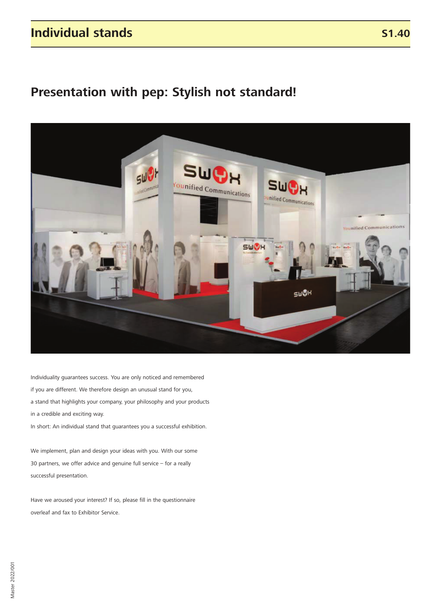### **Individual stands**

## **Presentation with pep: Stylish not standard!**



Individuality guarantees success. You are only noticed and remembered if you are different. We therefore design an unusual stand for you, a stand that highlights your company, your philosophy and your products in a credible and exciting way.

In short: An individual stand that guarantees you a successful exhibition.

We implement, plan and design your ideas with you. With our some 30 partners, we offer advice and genuine full service – for a really successful presentation.

Have we aroused your interest? If so, please fill in the questionnaire overleaf and fax to Exhibitor Service.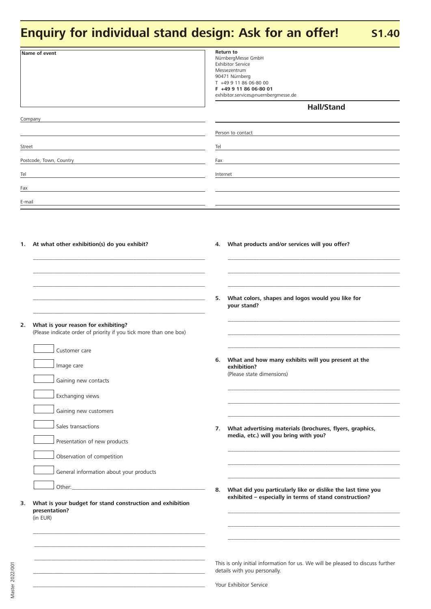# **Enquiry for individual stand design: Ask for an offer!** S1.40

|        | Name of event                                                                                            | <b>Return to</b><br>NürnbergMesse GmbH<br><b>Exhibitor Service</b><br>Messezentrum<br>90471 Nürnberg<br>T +49 9 11 86 06-80 00<br>F +49 9 11 86 06-80 01<br>exhibitor.services@nuernbergmesse.de |                                                                                                                |  |  |  |  |  |  |
|--------|----------------------------------------------------------------------------------------------------------|--------------------------------------------------------------------------------------------------------------------------------------------------------------------------------------------------|----------------------------------------------------------------------------------------------------------------|--|--|--|--|--|--|
|        |                                                                                                          |                                                                                                                                                                                                  | <b>Hall/Stand</b>                                                                                              |  |  |  |  |  |  |
|        | Company                                                                                                  |                                                                                                                                                                                                  | Person to contact                                                                                              |  |  |  |  |  |  |
| Street |                                                                                                          | Tel                                                                                                                                                                                              |                                                                                                                |  |  |  |  |  |  |
|        | Postcode, Town, Country                                                                                  | Fax                                                                                                                                                                                              |                                                                                                                |  |  |  |  |  |  |
| Tel    |                                                                                                          | Internet                                                                                                                                                                                         |                                                                                                                |  |  |  |  |  |  |
| Fax    |                                                                                                          |                                                                                                                                                                                                  |                                                                                                                |  |  |  |  |  |  |
| E-mail |                                                                                                          |                                                                                                                                                                                                  |                                                                                                                |  |  |  |  |  |  |
|        | 1. At what other exhibition(s) do you exhibit?                                                           | 4.                                                                                                                                                                                               | What products and/or services will you offer?                                                                  |  |  |  |  |  |  |
|        |                                                                                                          |                                                                                                                                                                                                  |                                                                                                                |  |  |  |  |  |  |
|        |                                                                                                          | 5.                                                                                                                                                                                               | What colors, shapes and logos would you like for<br>your stand?                                                |  |  |  |  |  |  |
| 2.     | What is your reason for exhibiting?<br>(Please indicate order of priority if you tick more than one box) |                                                                                                                                                                                                  |                                                                                                                |  |  |  |  |  |  |
|        | Customer care<br>Image care<br>Gaining new contacts                                                      | 6.                                                                                                                                                                                               | What and how many exhibits will you present at the<br>exhibition?<br>(Please state dimensions)                 |  |  |  |  |  |  |
|        | Exchanging views                                                                                         |                                                                                                                                                                                                  |                                                                                                                |  |  |  |  |  |  |
|        | Gaining new customers                                                                                    |                                                                                                                                                                                                  |                                                                                                                |  |  |  |  |  |  |
|        | Sales transactions<br>Presentation of new products                                                       | 7.                                                                                                                                                                                               | What advertising materials (brochures, flyers, graphics,<br>media, etc.) will you bring with you?              |  |  |  |  |  |  |
|        | Observation of competition                                                                               |                                                                                                                                                                                                  |                                                                                                                |  |  |  |  |  |  |
|        | General information about your products                                                                  |                                                                                                                                                                                                  |                                                                                                                |  |  |  |  |  |  |
|        |                                                                                                          | 8.                                                                                                                                                                                               | What did you particularly like or dislike the last time you                                                    |  |  |  |  |  |  |
| 3.     | What is your budget for stand construction and exhibition<br>presentation?<br>(in EUR)                   |                                                                                                                                                                                                  | exhibited - especially in terms of stand construction?                                                         |  |  |  |  |  |  |
|        |                                                                                                          |                                                                                                                                                                                                  | This is only initial information for us. We will be pleased to discuss further<br>details with you personally. |  |  |  |  |  |  |

**\_\_\_\_\_\_\_\_\_\_\_\_\_\_\_\_\_\_\_\_\_\_\_\_\_\_\_\_\_\_\_\_\_\_\_\_\_\_\_\_\_\_\_\_\_\_\_\_\_\_\_\_\_\_\_\_\_\_\_\_**

Your Exhibitor Service